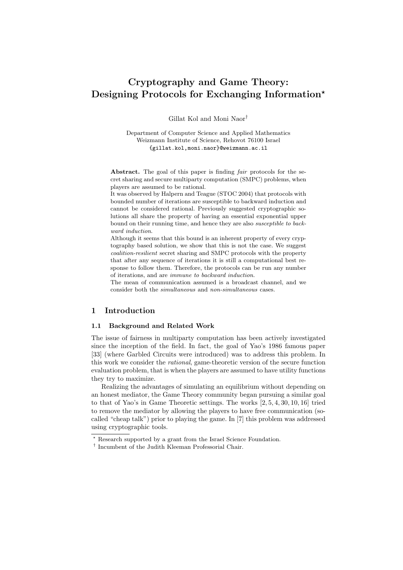# Cryptography and Game Theory: Designing Protocols for Exchanging Information?

Gillat Kol and Moni Naor†

Department of Computer Science and Applied Mathematics Weizmann Institute of Science, Rehovot 76100 Israel {gillat.kol,moni.naor}@weizmann.ac.il

Abstract. The goal of this paper is finding *fair* protocols for the secret sharing and secure multiparty computation (SMPC) problems, when players are assumed to be rational.

It was observed by Halpern and Teague (STOC 2004) that protocols with bounded number of iterations are susceptible to backward induction and cannot be considered rational. Previously suggested cryptographic solutions all share the property of having an essential exponential upper bound on their running time, and hence they are also susceptible to backward induction.

Although it seems that this bound is an inherent property of every cryptography based solution, we show that this is not the case. We suggest coalition-resilient secret sharing and SMPC protocols with the property that after any sequence of iterations it is still a computational best response to follow them. Therefore, the protocols can be run any number of iterations, and are immune to backward induction.

The mean of communication assumed is a broadcast channel, and we consider both the simultaneous and non-simultaneous cases.

# 1 Introduction

# 1.1 Background and Related Work

The issue of fairness in multiparty computation has been actively investigated since the inception of the field. In fact, the goal of Yao's 1986 famous paper [33] (where Garbled Circuits were introduced) was to address this problem. In this work we consider the rational, game-theoretic version of the secure function evaluation problem, that is when the players are assumed to have utility functions they try to maximize.

Realizing the advantages of simulating an equilibrium without depending on an honest mediator, the Game Theory community began pursuing a similar goal to that of Yao's in Game Theoretic settings. The works [2, 5, 4, 30, 10, 16] tried to remove the mediator by allowing the players to have free communication (socalled "cheap talk") prior to playing the game. In [7] this problem was addressed using cryptographic tools.

<sup>?</sup> Research supported by a grant from the Israel Science Foundation.

<sup>†</sup> Incumbent of the Judith Kleeman Professorial Chair.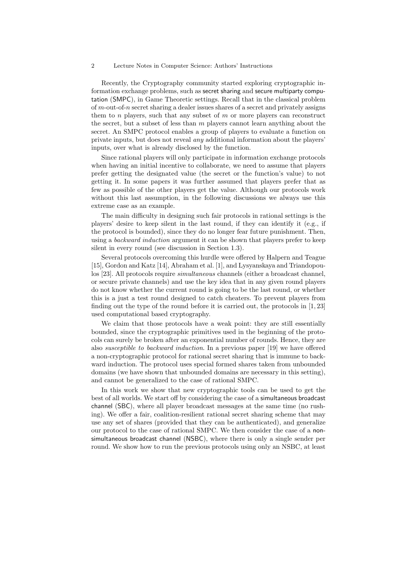Recently, the Cryptography community started exploring cryptographic information exchange problems, such as secret sharing and secure multiparty computation (SMPC), in Game Theoretic settings. Recall that in the classical problem of  $m$ -out-of-n secret sharing a dealer issues shares of a secret and privately assigns them to n players, such that any subset of  $m$  or more players can reconstruct the secret, but a subset of less than  $m$  players cannot learn anything about the secret. An SMPC protocol enables a group of players to evaluate a function on private inputs, but does not reveal any additional information about the players' inputs, over what is already disclosed by the function.

Since rational players will only participate in information exchange protocols when having an initial incentive to collaborate, we need to assume that players prefer getting the designated value (the secret or the function's value) to not getting it. In some papers it was further assumed that players prefer that as few as possible of the other players get the value. Although our protocols work without this last assumption, in the following discussions we always use this extreme case as an example.

The main difficulty in designing such fair protocols in rational settings is the players' desire to keep silent in the last round, if they can identify it (e.g., if the protocol is bounded), since they do no longer fear future punishment. Then, using a *backward induction* argument it can be shown that players prefer to keep silent in every round (see discussion in Section 1.3).

Several protocols overcoming this hurdle were offered by Halpern and Teague [15], Gordon and Katz [14], Abraham et al. [1], and Lysyanskaya and Triandopoulos [23]. All protocols require simultaneous channels (either a broadcast channel, or secure private channels) and use the key idea that in any given round players do not know whether the current round is going to be the last round, or whether this is a just a test round designed to catch cheaters. To prevent players from finding out the type of the round before it is carried out, the protocols in [1, 23] used computational based cryptography.

We claim that those protocols have a weak point: they are still essentially bounded, since the cryptographic primitives used in the beginning of the protocols can surely be broken after an exponential number of rounds. Hence, they are also susceptible to backward induction. In a previous paper [19] we have offered a non-cryptographic protocol for rational secret sharing that is immune to backward induction. The protocol uses special formed shares taken from unbounded domains (we have shown that unbounded domains are necessary in this setting), and cannot be generalized to the case of rational SMPC.

In this work we show that new cryptographic tools can be used to get the best of all worlds. We start off by considering the case of a simultaneous broadcast channel (SBC), where all player broadcast messages at the same time (no rushing). We offer a fair, coalition-resilient rational secret sharing scheme that may use any set of shares (provided that they can be authenticated), and generalize our protocol to the case of rational SMPC. We then consider the case of a nonsimultaneous broadcast channel (NSBC), where there is only a single sender per round. We show how to run the previous protocols using only an NSBC, at least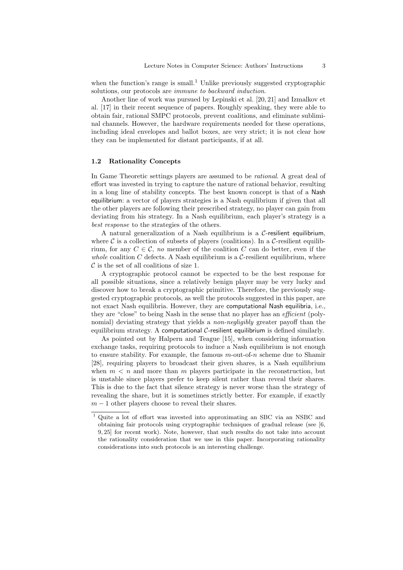when the function's range is small.<sup>1</sup> Unlike previously suggested cryptographic solutions, our protocols are *immune to backward induction*.

Another line of work was pursued by Lepinski et al. [20, 21] and Izmalkov et al. [17] in their recent sequence of papers. Roughly speaking, they were able to obtain fair, rational SMPC protocols, prevent coalitions, and eliminate subliminal channels. However, the hardware requirements needed for these operations, including ideal envelopes and ballot boxes, are very strict; it is not clear how they can be implemented for distant participants, if at all.

### 1.2 Rationality Concepts

In Game Theoretic settings players are assumed to be rational. A great deal of effort was invested in trying to capture the nature of rational behavior, resulting in a long line of stability concepts. The best known concept is that of a Nash equilibrium: a vector of players strategies is a Nash equilibrium if given that all the other players are following their prescribed strategy, no player can gain from deviating from his strategy. In a Nash equilibrium, each player's strategy is a best response to the strategies of the others.

A natural generalization of a Nash equilibrium is a  $C$ -resilient equilibrium, where  $\mathcal C$  is a collection of subsets of players (coalitions). In a  $\mathcal C$ -resilient equilibrium, for any  $C \in \mathcal{C}$ , no member of the coalition C can do better, even if the whole coalition C defects. A Nash equilibrium is a C-resilient equilibrium, where  $\mathcal C$  is the set of all coalitions of size 1.

A cryptographic protocol cannot be expected to be the best response for all possible situations, since a relatively benign player may be very lucky and discover how to break a cryptographic primitive. Therefore, the previously suggested cryptographic protocols, as well the protocols suggested in this paper, are not exact Nash equilibria. However, they are computational Nash equilibria, i.e., they are "close" to being Nash in the sense that no player has an efficient (polynomial) deviating strategy that yields a *non-negligibly* greater payoff than the equilibrium strategy. A computational C-resilient equilibrium is defined similarly.

As pointed out by Halpern and Teague [15], when considering information exchange tasks, requiring protocols to induce a Nash equilibrium is not enough to ensure stability. For example, the famous  $m$ -out-of- $n$  scheme due to Shamir [28], requiring players to broadcast their given shares, is a Nash equilibrium when  $m < n$  and more than m players participate in the reconstruction, but is unstable since players prefer to keep silent rather than reveal their shares. This is due to the fact that silence strategy is never worse than the strategy of revealing the share, but it is sometimes strictly better. For example, if exactly  $m - 1$  other players choose to reveal their shares.

<sup>1</sup> Quite a lot of effort was invested into approximating an SBC via an NSBC and obtaining fair protocols using cryptographic techniques of gradual release (see [6, 9, 25] for recent work). Note, however, that such results do not take into account the rationality consideration that we use in this paper. Incorporating rationality considerations into such protocols is an interesting challenge.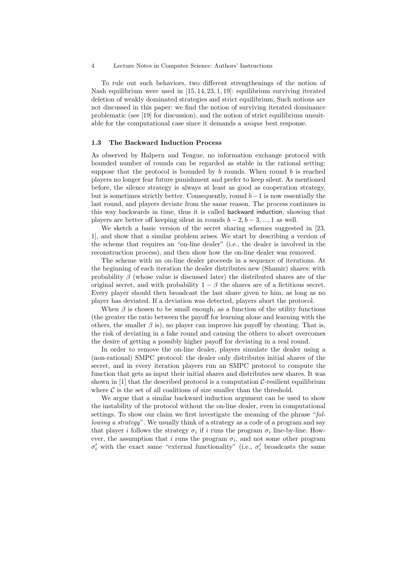To rule out such behaviors, two different strengthenings of the notion of Nash equilibrium were used in [15, 14, 23, 1, 19]: equilibrium surviving iterated deletion of weakly dominated strategies and strict equilibrium. Such notions are not discussed in this paper: we find the notion of surviving iterated dominance problematic (see [19] for discussion), and the notion of strict equilibrium unsuitable for the computational case since it demands a unique best response.

# 1.3 The Backward Induction Process

As observed by Halpern and Teague, no information exchange protocol with bounded number of rounds can be regarded as stable in the rational setting: suppose that the protocol is bounded by  $b$  rounds. When round  $b$  is reached players no longer fear future punishment and prefer to keep silent. As mentioned before, the silence strategy is always at least as good as cooperation strategy, but is sometimes strictly better. Consequently, round  $b-1$  is now essentially the last round, and players deviate from the same reason. The process continues in this way backwards in time, thus it is called backward induction, showing that players are better off keeping silent in rounds  $b - 2, b - 3, \dots, 1$  as well.

We sketch a basic version of the secret sharing schemes suggested in [23, 1], and show that a similar problem arises. We start by describing a version of the scheme that requires an "on-line dealer" (i.e., the dealer is involved in the reconstruction process), and then show how the on-line dealer was removed.

The scheme with an on-line dealer proceeds in a sequence of iterations. At the beginning of each iteration the dealer distributes new (Shamir) shares: with probability  $\beta$  (whose value is discussed later) the distributed shares are of the original secret, and with probability  $1 - \beta$  the shares are of a fictitious secret. Every player should then broadcast the last share given to him, as long as no player has deviated. If a deviation was detected, players abort the protocol.

When  $\beta$  is chosen to be small enough, as a function of the utility functions (the greater the ratio between the payoff for learning alone and learning with the others, the smaller  $\beta$  is), no player can improve his payoff by cheating. That is, the risk of deviating in a fake round and causing the others to abort overcomes the desire of getting a possibly higher payoff for deviating in a real round.

In order to remove the on-line dealer, players simulate the dealer using a (non-rational) SMPC protocol: the dealer only distributes initial shares of the secret, and in every iteration players run an SMPC protocol to compute the function that gets as input their initial shares and distributes new shares. It was shown in  $[1]$  that the described protocol is a computation C-resilient equilibrium where  $\mathcal C$  is the set of all coalitions of size smaller than the threshold.

We argue that a similar backward induction argument can be used to show the instability of the protocol without the on-line dealer, even in computational settings. To show our claim we first investigate the meaning of the phrase "following a strategy". We usually think of a strategy as a code of a program and say that player *i* follows the strategy  $\sigma_i$  if *i* runs the program  $\sigma_i$  line-by-line. However, the assumption that i runs the program  $\sigma_i$ , and not some other program  $\sigma'_{i}$  with the exact same "external functionality" (i.e.,  $\sigma'_{i}$  broadcasts the same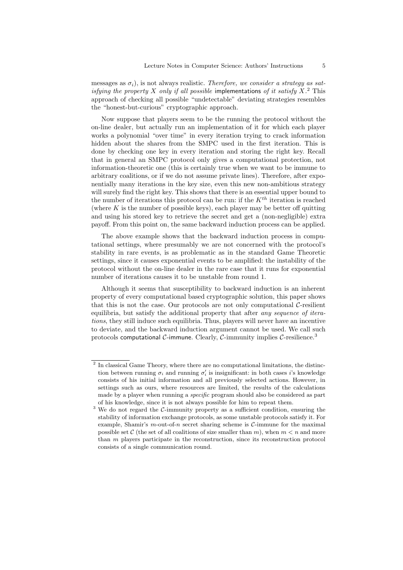messages as  $\sigma_i$ ), is not always realistic. Therefore, we consider a strategy as satisfying the property X only if all possible implementations of it satisfy  $X$ .<sup>2</sup> This approach of checking all possible "undetectable" deviating strategies resembles the "honest-but-curious" cryptographic approach.

Now suppose that players seem to be the running the protocol without the on-line dealer, but actually run an implementation of it for which each player works a polynomial "over time" in every iteration trying to crack information hidden about the shares from the SMPC used in the first iteration. This is done by checking one key in every iteration and storing the right key. Recall that in general an SMPC protocol only gives a computational protection, not information-theoretic one (this is certainly true when we want to be immune to arbitrary coalitions, or if we do not assume private lines). Therefore, after exponentially many iterations in the key size, even this new non-ambitious strategy will surely find the right key. This shows that there is an essential upper bound to the number of iterations this protocol can be run: if the  $K^{th}$  iteration is reached (where  $K$  is the number of possible keys), each player may be better off quitting and using his stored key to retrieve the secret and get a (non-negligible) extra payoff. From this point on, the same backward induction process can be applied.

The above example shows that the backward induction process in computational settings, where presumably we are not concerned with the protocol's stability in rare events, is as problematic as in the standard Game Theoretic settings, since it causes exponential events to be amplified: the instability of the protocol without the on-line dealer in the rare case that it runs for exponential number of iterations causes it to be unstable from round 1.

Although it seems that susceptibility to backward induction is an inherent property of every computational based cryptographic solution, this paper shows that this is not the case. Our protocols are not only computational  $\mathcal{C}\text{-resilient}$ equilibria, but satisfy the additional property that after any sequence of iterations, they still induce such equilibria. Thus, players will never have an incentive to deviate, and the backward induction argument cannot be used. We call such protocols computational C-immune. Clearly, C-immunity implies  $C$ -resilience.<sup>3</sup>

<sup>&</sup>lt;sup>2</sup> In classical Game Theory, where there are no computational limitations, the distinction between running  $\sigma_i$  and running  $\sigma'_i$  is insignificant: in both cases *i*'s knowledge consists of his initial information and all previously selected actions. However, in settings such as ours, where resources are limited, the results of the calculations made by a player when running a specific program should also be considered as part of his knowledge, since it is not always possible for him to repeat them.

 $3$  We do not regard the  $C$ -immunity property as a sufficient condition, ensuring the stability of information exchange protocols, as some unstable protocols satisfy it. For example, Shamir's  $m$ -out-of-n secret sharing scheme is  $C$ -immune for the maximal possible set C (the set of all coalitions of size smaller than  $m$ ), when  $m < n$  and more than m players participate in the reconstruction, since its reconstruction protocol consists of a single communication round.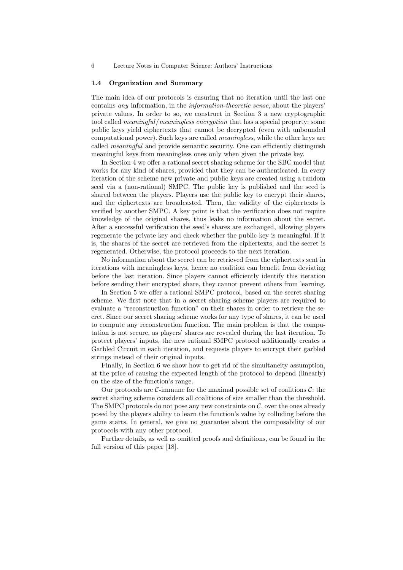#### 1.4 Organization and Summary

The main idea of our protocols is ensuring that no iteration until the last one contains any information, in the information-theoretic sense, about the players' private values. In order to so, we construct in Section 3 a new cryptographic tool called meaningful/meaningless encryption that has a special property: some public keys yield ciphertexts that cannot be decrypted (even with unbounded computational power). Such keys are called meaningless, while the other keys are called meaningful and provide semantic security. One can efficiently distinguish meaningful keys from meaningless ones only when given the private key.

In Section 4 we offer a rational secret sharing scheme for the SBC model that works for any kind of shares, provided that they can be authenticated. In every iteration of the scheme new private and public keys are created using a random seed via a (non-rational) SMPC. The public key is published and the seed is shared between the players. Players use the public key to encrypt their shares, and the ciphertexts are broadcasted. Then, the validity of the ciphertexts is verified by another SMPC. A key point is that the verification does not require knowledge of the original shares, thus leaks no information about the secret. After a successful verification the seed's shares are exchanged, allowing players regenerate the private key and check whether the public key is meaningful. If it is, the shares of the secret are retrieved from the ciphertexts, and the secret is regenerated. Otherwise, the protocol proceeds to the next iteration.

No information about the secret can be retrieved from the ciphertexts sent in iterations with meaningless keys, hence no coalition can benefit from deviating before the last iteration. Since players cannot efficiently identify this iteration before sending their encrypted share, they cannot prevent others from learning.

In Section 5 we offer a rational SMPC protocol, based on the secret sharing scheme. We first note that in a secret sharing scheme players are required to evaluate a "reconstruction function" on their shares in order to retrieve the secret. Since our secret sharing scheme works for any type of shares, it can be used to compute any reconstruction function. The main problem is that the computation is not secure, as players' shares are revealed during the last iteration. To protect players' inputs, the new rational SMPC protocol additionally creates a Garbled Circuit in each iteration, and requests players to encrypt their garbled strings instead of their original inputs.

Finally, in Section 6 we show how to get rid of the simultaneity assumption, at the price of causing the expected length of the protocol to depend (linearly) on the size of the function's range.

Our protocols are C-immune for the maximal possible set of coalitions  $\mathcal{C}$ : the secret sharing scheme considers all coalitions of size smaller than the threshold. The SMPC protocols do not pose any new constraints on  $C$ , over the ones already posed by the players ability to learn the function's value by colluding before the game starts. In general, we give no guarantee about the composability of our protocols with any other protocol.

Further details, as well as omitted proofs and definitions, can be found in the full version of this paper [18].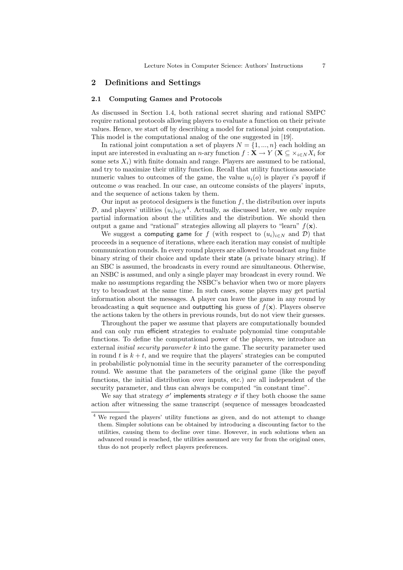# 2 Definitions and Settings

# 2.1 Computing Games and Protocols

As discussed in Section 1.4, both rational secret sharing and rational SMPC require rational protocols allowing players to evaluate a function on their private values. Hence, we start off by describing a model for rational joint computation. This model is the computational analog of the one suggested in [19].

In rational joint computation a set of players  $N = \{1, ..., n\}$  each holding an input are interested in evaluating an n-ary function  $f: \mathbf{X} \to Y$  ( $\mathbf{X} \subseteq \times_{i \in N} X_i$  for some sets  $X_i$ ) with finite domain and range. Players are assumed to be rational, and try to maximize their utility function. Recall that utility functions associate numeric values to outcomes of the game, the value  $u_i(o)$  is player is payoff if outcome o was reached. In our case, an outcome consists of the players' inputs, and the sequence of actions taken by them.

Our input as protocol designers is the function  $f$ , the distribution over inputs D, and players' utilities  $(u_i)_{i \in \mathbb{N}}$ <sup>4</sup>. Actually, as discussed later, we only require partial information about the utilities and the distribution. We should then output a game and "rational" strategies allowing all players to "learn"  $f(\mathbf{x})$ .

We suggest a computing game for f (with respect to  $(u_i)_{i\in N}$  and D) that proceeds in a sequence of iterations, where each iteration may consist of multiple communication rounds. In every round players are allowed to broadcast any finite binary string of their choice and update their state (a private binary string). If an SBC is assumed, the broadcasts in every round are simultaneous. Otherwise, an NSBC is assumed, and only a single player may broadcast in every round. We make no assumptions regarding the NSBC's behavior when two or more players try to broadcast at the same time. In such cases, some players may get partial information about the messages. A player can leave the game in any round by broadcasting a quit sequence and outputting his guess of  $f(\mathbf{x})$ . Players observe the actions taken by the others in previous rounds, but do not view their guesses.

Throughout the paper we assume that players are computationally bounded and can only run efficient strategies to evaluate polynomial time computable functions. To define the computational power of the players, we introduce an external initial security parameter k into the game. The security parameter used in round t is  $k + t$ , and we require that the players' strategies can be computed in probabilistic polynomial time in the security parameter of the corresponding round. We assume that the parameters of the original game (like the payoff functions, the initial distribution over inputs, etc.) are all independent of the security parameter, and thus can always be computed "in constant time".

We say that strategy  $\sigma'$  implements strategy  $\sigma$  if they both choose the same action after witnessing the same transcript (sequence of messages broadcasted

<sup>4</sup> We regard the players' utility functions as given, and do not attempt to change them. Simpler solutions can be obtained by introducing a discounting factor to the utilities, causing them to decline over time. However, in such solutions when an advanced round is reached, the utilities assumed are very far from the original ones, thus do not properly reflect players preferences.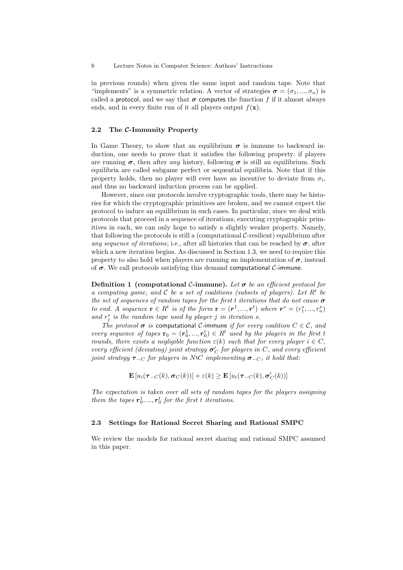in previous rounds) when given the same input and random tape. Note that "implements" is a symmetric relation. A vector of strategies  $\sigma = (\sigma_1, ..., \sigma_n)$  is called a protocol, and we say that  $\sigma$  computes the function f if it almost always ends, and in every finite run of it all players output  $f(\mathbf{x})$ .

# 2.2 The C-Immunity Property

In Game Theory, to show that an equilibrium  $\sigma$  is immune to backward induction, one needs to prove that it satisfies the following property: if players are running  $\sigma$ , then after any history, following  $\sigma$  is still an equilibrium. Such equilibria are called subgame perfect or sequential equilibria. Note that if this property holds, then no player will ever have an incentive to deviate from  $\sigma_i$ , and thus no backward induction process can be applied.

However, since our protocols involve cryptographic tools, there may be histories for which the cryptographic primitives are broken, and we cannot expect the protocol to induce an equilibrium in such cases. In particular, since we deal with protocols that proceed in a sequence of iterations, executing cryptographic primitives in each, we can only hope to satisfy a slightly weaker property. Namely, that following the protocols is still a (computational C-resilient) equilibrium after any sequence of iterations; i.e., after all histories that can be reached by  $\sigma$ , after which a new iteration begins. As discussed in Section 1.3, we need to require this property to also hold when players are running an implementation of  $\sigma$ , instead of  $\sigma$ . We call protocols satisfying this demand computational C-immune.

**Definition 1** (computational C-immune). Let  $\sigma$  be an efficient protocol for a computing game, and  $C$  be a set of coalitions (subsets of players). Let  $R<sup>t</sup>$  be the set of sequences of random tapes for the first t iterations that do not cause  $\sigma$ to end. A sequence  $\mathbf{r} \in R^t$  is of the form  $\mathbf{r} = (\mathbf{r}^1, ..., \mathbf{r}^t)$  where  $\mathbf{r}^s = (r_1^s, ..., r_n^s)$ and  $r_j^s$  is the random tape used by player j in iteration s.

The protocol  $\sigma$  is computational C-immune if for every coalition  $C \in \mathcal{C}$ , and every sequence of tapes  $\mathbf{r}_0 = (\mathbf{r}_0^1, ..., \mathbf{r}_0^t) \in R^t$  used by the players in the first t rounds, there exists a negligible function  $\varepsilon(k)$  such that for every player  $i \in C$ , every efficient (deviating) joint strategy  $\sigma_C'$  for players in C, and every efficient joint strategy  $\tau_{-C}$  for players in N\C implementing  $\sigma_{-C}$ , it hold that:

$$
\mathbf{E}\left[u_i(\boldsymbol{\tau}_{-C}(k),\boldsymbol{\sigma}_C(k))\right] + \varepsilon(k) \geq \mathbf{E}\left[u_i(\boldsymbol{\tau}_{-C}(k),\boldsymbol{\sigma}'_C(k))\right]
$$

The expectation is taken over all sets of random tapes for the players assigning them the tapes  $\mathbf{r}_0^1, ..., \mathbf{r}_0^t$  for the first t iterations.

### 2.3 Settings for Rational Secret Sharing and Rational SMPC

We review the models for rational secret sharing and rational SMPC assumed in this paper.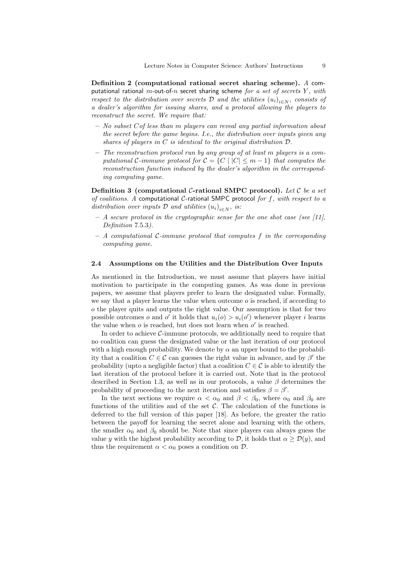Definition 2 (computational rational secret sharing scheme). A computational rational m-out-of-n secret sharing scheme for a set of secrets  $Y$ , with respect to the distribution over secrets  $\mathcal{D}$  and the utilities  $(u_i)_{i \in N}$ , consists of a dealer's algorithm for issuing shares, and a protocol allowing the players to reconstruct the secret. We require that:

- No subset Cof less than m players can reveal any partial information about the secret before the game begins. I.e., the distribution over inputs given any shares of players in  $C$  is identical to the original distribution  $D$ .
- The reconstruction protocol run by any group of at least m players is a computational C-immune protocol for  $C = \{C \mid |C| \leq m-1\}$  that computes the reconstruction function induced by the dealer's algorithm in the corresponding computing game.

Definition 3 (computational C-rational SMPC protocol). Let C be a set of coalitions. A computational C-rational SMPC protocol for f, with respect to a distribution over inputs  $D$  and utilities  $(u_i)_{i \in N}$ , is:

- $-$  A secure protocol in the cryptographic sense for the one shot case (see [11], Definition 7.5.3).
- $A$  computational C-immune protocol that computes f in the corresponding computing game.

### 2.4 Assumptions on the Utilities and the Distribution Over Inputs

As mentioned in the Introduction, we must assume that players have initial motivation to participate in the computing games. As was done in previous papers, we assume that players prefer to learn the designated value. Formally, we say that a player learns the value when outcome  $o$  is reached, if according to o the player quits and outputs the right value. Our assumption is that for two possible outcomes o and o' it holds that  $u_i(o) > u_i(o')$  whenever player i learns the value when  $o$  is reached, but does not learn when  $o'$  is reached.

In order to achieve  $C$ -immune protocols, we additionally need to require that no coalition can guess the designated value or the last iteration of our protocol with a high enough probability. We denote by  $\alpha$  an upper bound to the probability that a coalition  $C \in \mathcal{C}$  can guesses the right value in advance, and by  $\beta'$  the probability (upto a negligible factor) that a coalition  $C \in \mathcal{C}$  is able to identify the last iteration of the protocol before it is carried out. Note that in the protocol described in Section 1.3, as well as in our protocols, a value  $\beta$  determines the probability of proceeding to the next iteration and satisfies  $\beta = \beta'$ .

In the next sections we require  $\alpha < \alpha_0$  and  $\beta < \beta_0$ , where  $\alpha_0$  and  $\beta_0$  are functions of the utilities and of the set  $C$ . The calculation of the functions is deferred to the full version of this paper [18]. As before, the greater the ratio between the payoff for learning the secret alone and learning with the others, the smaller  $\alpha_0$  and  $\beta_0$  should be. Note that since players can always guess the value y with the highest probability according to  $\mathcal{D}$ , it holds that  $\alpha \geq \mathcal{D}(y)$ , and thus the requirement  $\alpha < \alpha_0$  poses a condition on  $\mathcal{D}$ .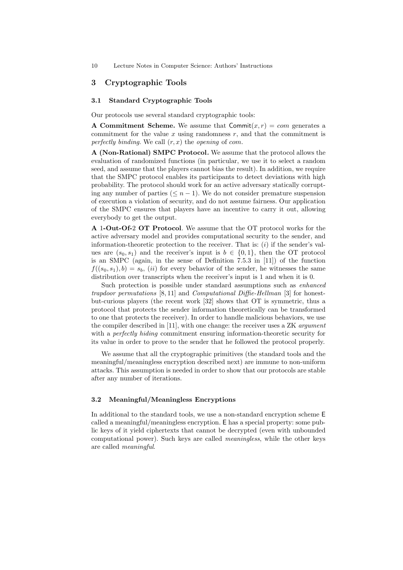# 3 Cryptographic Tools

#### 3.1 Standard Cryptographic Tools

Our protocols use several standard cryptographic tools:

**A Commitment Scheme.** We assume that  $\text{Commit}(x, r) = com$  generates a commitment for the value  $x$  using randomness  $r$ , and that the commitment is perfectly binding. We call  $(r, x)$  the opening of com.

A (Non-Rational) SMPC Protocol. We assume that the protocol allows the evaluation of randomized functions (in particular, we use it to select a random seed, and assume that the players cannot bias the result). In addition, we require that the SMPC protocol enables its participants to detect deviations with high probability. The protocol should work for an active adversary statically corrupting any number of parties ( $\leq n-1$ ). We do not consider premature suspension of execution a violation of security, and do not assume fairness. Our application of the SMPC ensures that players have an incentive to carry it out, allowing everybody to get the output.

A 1-Out-Of-2 OT Protocol. We assume that the OT protocol works for the active adversary model and provides computational security to the sender, and information-theoretic protection to the receiver. That is:  $(i)$  if the sender's values are  $(s_0, s_1)$  and the receiver's input is  $b \in \{0, 1\}$ , then the OT protocol is an SMPC (again, in the sense of Definition 7.5.3 in [11]) of the function  $f((s_0, s_1), b) = s_b$ , *(ii)* for every behavior of the sender, he witnesses the same distribution over transcripts when the receiver's input is 1 and when it is 0.

Such protection is possible under standard assumptions such as enhanced trapdoor permutations [8, 11] and Computational Diffie-Hellman [3] for honestbut-curious players (the recent work [32] shows that OT is symmetric, thus a protocol that protects the sender information theoretically can be transformed to one that protects the receiver). In order to handle malicious behaviors, we use the compiler described in  $[11]$ , with one change: the receiver uses a ZK *argument* with a *perfectly hiding* commitment ensuring information-theoretic security for its value in order to prove to the sender that he followed the protocol properly.

We assume that all the cryptographic primitives (the standard tools and the meaningful/meaningless encryption described next) are immune to non-uniform attacks. This assumption is needed in order to show that our protocols are stable after any number of iterations.

# 3.2 Meaningful/Meaningless Encryptions

In additional to the standard tools, we use a non-standard encryption scheme E called a meaningful/meaningless encryption. E has a special property: some public keys of it yield ciphertexts that cannot be decrypted (even with unbounded computational power). Such keys are called meaningless, while the other keys are called meaningful.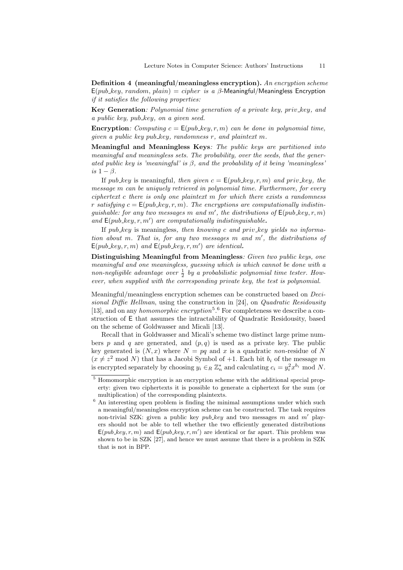Definition 4 (meaningful/meaningless encryption). An encryption scheme  $E(pub \; key, \; random, \; plain) = cipher \; is \; a \; \beta$ -Meaningful/Meaningless Encryption if it satisfies the following properties:

Key Generation: Polynomial time generation of a private key, priv\_key, and a public key, pub key, on a given seed.

**Encryption**: Computing  $c = E(pub\_key, r, m)$  can be done in polynomial time, given a public key pub key, randomness  $r$ , and plaintext  $m$ .

Meaningful and Meaningless Keys: The public keys are partitioned into meaningful and meaningless sets. The probability, over the seeds, that the generated public key is 'meaningful' is  $\beta$ , and the probability of it being 'meaningless' is  $1 - \beta$ .

If pub key is meaningful, then given  $c = \mathsf{E}(pub \text{key}, r, m)$  and priv key, the message m can be uniquely retrieved in polynomial time. Furthermore, for every ciphertext c there is only one plaintext m for which there exists a randomness r satisfying  $c = E(pub\_key, r, m)$ . The encryptions are computationally indistinguishable: for any two messages m and m', the distributions of  $E(pub\_key, r, m)$ and  $E(pub\_key, r, m')$  are computationally indistinguishable.

If pub  $keu$  is meaningless, then knowing c and priv  $keu$  yields no information about m. That is, for any two messages m and  $m'$ , the distributions of  $E(pub\_key, r, m)$  and  $E(pub\_key, r, m')$  are identical.

Distinguishing Meaningful from Meaningless: Given two public keys, one meaningful and one meaningless, guessing which is which cannot be done with a non-negligible advantage over  $\frac{1}{2}$  by a probabilistic polynomial time tester. However, when supplied with the corresponding private key, the test is polynomial.

Meaningful/meaningless encryption schemes can be constructed based on Decisional Diffie Hellman, using the construction in [24], on Quadratic Residousity [13], and on any *homomorphic encryption*<sup>5</sup>.<sup>6</sup> For completeness we describe a construction of E that assumes the intractability of Quadratic Residousity, based on the scheme of Goldwasser and Micali [13].

Recall that in Goldwasser and Micali's scheme two distinct large prime numbers p and q are generated, and  $(p, q)$  is used as a private key. The public key generated is  $(N, x)$  where  $N = pq$  and x is a quadratic non-residue of N  $(x \neq z^2 \mod N)$  that has a Jacobi Symbol of  $+1$ . Each bit  $b_i$  of the message m is encrypted separately by choosing  $y_i \in_R \mathbb{Z}_n^*$  and calculating  $c_i = y_i^2 x^{b_i} \mod N$ .

<sup>5</sup> Homomorphic encryption is an encryption scheme with the additional special property: given two ciphertexts it is possible to generate a ciphertext for the sum (or multiplication) of the corresponding plaintexts.

 $^6$  An interesting open problem is finding the minimal assumptions under which such a meaningful/meaningless encryption scheme can be constructed. The task requires non-trivial SZK: given a public key  $pub\_key$  and two messages m and m' players should not be able to tell whether the two efficiently generated distributions  $E(pub\_key, r, m)$  and  $E(pub\_key, r, m')$  are identical or far apart. This problem was shown to be in SZK [27], and hence we must assume that there is a problem in SZK that is not in BPP.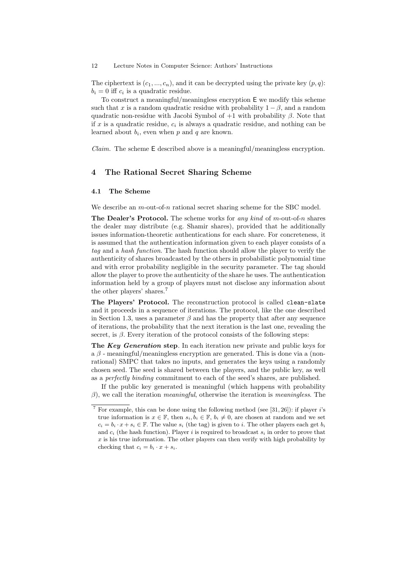The ciphertext is  $(c_1, ..., c_n)$ , and it can be decrypted using the private key  $(p, q)$ :  $b_i = 0$  iff  $c_i$  is a quadratic residue.

To construct a meaningful/meaningless encryption E we modify this scheme such that x is a random quadratic residue with probability  $1 - \beta$ , and a random quadratic non-residue with Jacobi Symbol of  $+1$  with probability  $\beta$ . Note that if  $x$  is a quadratic residue,  $c_i$  is always a quadratic residue, and nothing can be learned about  $b_i$ , even when p and q are known.

Claim. The scheme E described above is a meaningful/meaningless encryption.

# 4 The Rational Secret Sharing Scheme

# 4.1 The Scheme

We describe an  $m$ -out-of-n rational secret sharing scheme for the SBC model.

**The Dealer's Protocol.** The scheme works for any kind of m-out-of-n shares the dealer may distribute (e.g. Shamir shares), provided that he additionally issues information-theoretic authentications for each share. For concreteness, it is assumed that the authentication information given to each player consists of a tag and a hash function. The hash function should allow the player to verify the authenticity of shares broadcasted by the others in probabilistic polynomial time and with error probability negligible in the security parameter. The tag should allow the player to prove the authenticity of the share he uses. The authentication information held by a group of players must not disclose any information about the other players' shares.<sup>7</sup>

The Players' Protocol. The reconstruction protocol is called clean-slate and it proceeds in a sequence of iterations. The protocol, like the one described in Section 1.3, uses a parameter  $\beta$  and has the property that after any sequence of iterations, the probability that the next iteration is the last one, revealing the secret, is  $\beta$ . Every iteration of the protocol consists of the following steps:

The Key Generation step. In each iteration new private and public keys for a  $\beta$  - meaningful/meaningless encryption are generated. This is done via a (nonrational) SMPC that takes no inputs, and generates the keys using a randomly chosen seed. The seed is shared between the players, and the public key, as well as a perfectly binding commitment to each of the seed's shares, are published.

If the public key generated is meaningful (which happens with probability  $\beta$ ), we call the iteration *meaningful*, otherwise the iteration is *meaningless*. The

<sup>&</sup>lt;sup>7</sup> For example, this can be done using the following method (see [31, 26]): if player *i*'s true information is  $x \in \mathbb{F}$ , then  $s_i, b_i \in \mathbb{F}$ ,  $b_i \neq 0$ , are chosen at random and we set  $c_i = b_i \cdot x + s_i \in \mathbb{F}$ . The value  $s_i$  (the tag) is given to i. The other players each get  $b_i$ and  $c_i$  (the hash function). Player i is required to broadcast  $s_i$  in order to prove that  $x$  is his true information. The other players can then verify with high probability by checking that  $c_i = b_i \cdot x + s_i$ .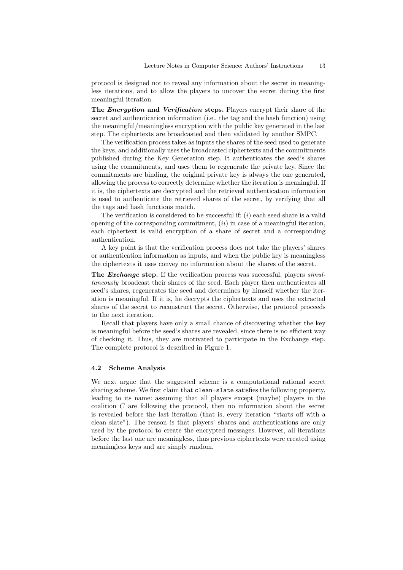protocol is designed not to reveal any information about the secret in meaningless iterations, and to allow the players to uncover the secret during the first meaningful iteration.

The *Encryption* and *Verification* steps. Players encrypt their share of the secret and authentication information (i.e., the tag and the hash function) using the meaningful/meaningless encryption with the public key generated in the last step. The ciphertexts are broadcasted and then validated by another SMPC.

The verification process takes as inputs the shares of the seed used to generate the keys, and additionally uses the broadcasted ciphertexts and the commitments published during the Key Generation step. It authenticates the seed's shares using the commitments, and uses them to regenerate the private key. Since the commitments are binding, the original private key is always the one generated, allowing the process to correctly determine whether the iteration is meaningful. If it is, the ciphertexts are decrypted and the retrieved authentication information is used to authenticate the retrieved shares of the secret, by verifying that all the tags and hash functions match.

The verification is considered to be successful if:  $(i)$  each seed share is a valid opening of the corresponding commitment,  $(ii)$  in case of a meaningful iteration, each ciphertext is valid encryption of a share of secret and a corresponding authentication.

A key point is that the verification process does not take the players' shares or authentication information as inputs, and when the public key is meaningless the ciphertexts it uses convey no information about the shares of the secret.

The *Exchange* step. If the verification process was successful, players simultaneously broadcast their shares of the seed. Each player then authenticates all seed's shares, regenerates the seed and determines by himself whether the iteration is meaningful. If it is, he decrypts the ciphertexts and uses the extracted shares of the secret to reconstruct the secret. Otherwise, the protocol proceeds to the next iteration.

Recall that players have only a small chance of discovering whether the key is meaningful before the seed's shares are revealed, since there is no efficient way of checking it. Thus, they are motivated to participate in the Exchange step. The complete protocol is described in Figure 1.

### 4.2 Scheme Analysis

We next argue that the suggested scheme is a computational rational secret sharing scheme. We first claim that clean-slate satisfies the following property, leading to its name: assuming that all players except (maybe) players in the coalition C are following the protocol, then no information about the secret is revealed before the last iteration (that is, every iteration "starts off with a clean slate"). The reason is that players' shares and authentications are only used by the protocol to create the encrypted messages. However, all iterations before the last one are meaningless, thus previous ciphertexts were created using meaningless keys and are simply random.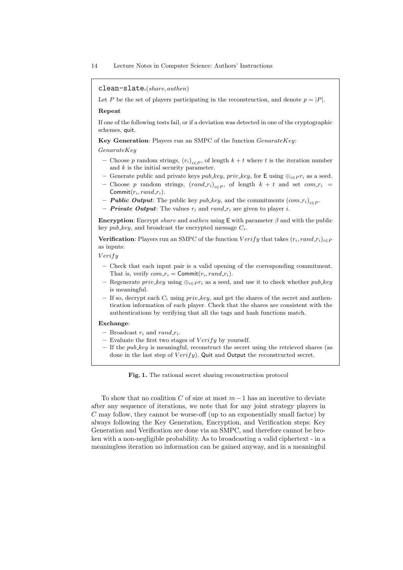# $clean = slate<sub>i</sub>(share, author)$

Let P be the set of players participating in the reconstruction, and denote  $p = |P|$ .

#### Repeat

If one of the following tests fail, or if a deviation was detected in one of the cryptographic schemes, quit.

**Key Generation:** Players run an SMPC of the function  $GenarateKey$ :

GenarateKey

- − Choose p random strings,  $(r_i)_{i \in P}$ , of length k + t where t is the iteration number and  $k$  is the initial security parameter.
- Generate public and private keys *pub key, priv key*, for E using  $\bigoplus_{i \in P} r_i$  as a seed.
- Choose p random strings,  $(rand_r)_i$ <sub>i∈P</sub>, of length  $k + t$  and set com<sub>-r<sub>i</sub></sub> = Commit $(r_i, rand\_r_i)$ .
- **Public Output**: The public key pub\_key, and the commitments  $(com_r)_i \in P$ .
- **Private Output**: The values  $r_i$  and rand  $r_i$  are given to player i.

**Encryption:** Encrypt *share* and *authen* using E with parameter  $\beta$  and with the public key pub key, and broadcast the encrypted message  $C_i$ .

**Verification**: Players run an SMPC of the function  $Verify$  that takes  $(r_i, rand\_r_i)_{i \in P}$ as inputs:

V erif y

- Check that each input pair is a valid opening of the corresponding commitment. That is, verify  $com_r_i = \text{Commit}(r_i, rand_r_i)$ .
- Regenerate priv\_key using  $\bigoplus_{i\in P} r_i$  as a seed, and use it to check whether pub\_key is meaningful.
- If so, decrypt each  $C_i$  using priv key, and get the shares of the secret and authentication information of each player. Check that the shares are consistent with the authentications by verifying that all the tags and hash functions match.

# Exchange:

- Broadcast  $r_i$  and rand  $r_i$ .
- Evaluate the first two stages of  $Verify$  by yourself.
- $-$  If the *pub key* is meaningful, reconstruct the secret using the retrieved shares (as done in the last step of  $Verify$ . Quit and Output the reconstructed secret.

#### Fig. 1. The rational secret sharing reconstruction protocol

To show that no coalition C of size at most  $m-1$  has an incentive to deviate after any sequence of iterations, we note that for any joint strategy players in  $C$  may follow, they cannot be worse-off (up to an exponentially small factor) by always following the Key Generation, Encryption, and Verification steps: Key Generation and Verification are done via an SMPC, and therefore cannot be broken with a non-negligible probability. As to broadcasting a valid ciphertext - in a meaningless iteration no information can be gained anyway, and in a meaningful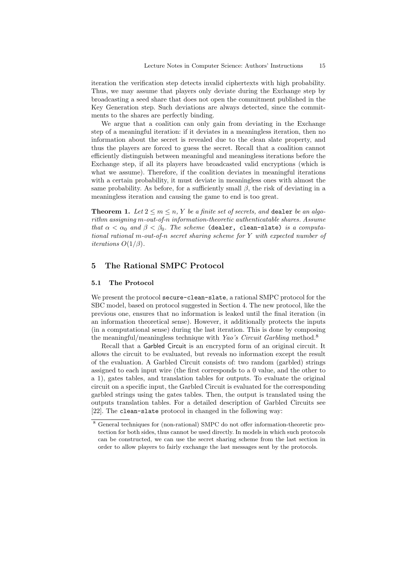iteration the verification step detects invalid ciphertexts with high probability. Thus, we may assume that players only deviate during the Exchange step by broadcasting a seed share that does not open the commitment published in the Key Generation step. Such deviations are always detected, since the commitments to the shares are perfectly binding.

We argue that a coalition can only gain from deviating in the Exchange step of a meaningful iteration: if it deviates in a meaningless iteration, then no information about the secret is revealed due to the clean slate property, and thus the players are forced to guess the secret. Recall that a coalition cannot efficiently distinguish between meaningful and meaningless iterations before the Exchange step, if all its players have broadcasted valid encryptions (which is what we assume). Therefore, if the coalition deviates in meaningful iterations with a certain probability, it must deviate in meaningless ones with almost the same probability. As before, for a sufficiently small  $\beta$ , the risk of deviating in a meaningless iteration and causing the game to end is too great.

**Theorem 1.** Let  $2 \le m \le n$ , Y be a finite set of secrets, and dealer be an algorithm assigning m-out-of-n information-theoretic authenticatable shares. Assume that  $\alpha < \alpha_0$  and  $\beta < \beta_0$ . The scheme (dealer, clean-slate) is a computational rational m-out-of-n secret sharing scheme for Y with expected number of *iterations*  $O(1/\beta)$ .

# 5 The Rational SMPC Protocol

# 5.1 The Protocol

We present the protocol secure-clean-slate, a rational SMPC protocol for the SBC model, based on protocol suggested in Section 4. The new protocol, like the previous one, ensures that no information is leaked until the final iteration (in an information theoretical sense). However, it additionally protects the inputs (in a computational sense) during the last iteration. This is done by composing the meaningful/meaningless technique with Yao's Circuit Garbling method.<sup>8</sup>

Recall that a Garbled Circuit is an encrypted form of an original circuit. It allows the circuit to be evaluated, but reveals no information except the result of the evaluation. A Garbled Circuit consists of: two random (garbled) strings assigned to each input wire (the first corresponds to a 0 value, and the other to a 1), gates tables, and translation tables for outputs. To evaluate the original circuit on a specific input, the Garbled Circuit is evaluated for the corresponding garbled strings using the gates tables. Then, the output is translated using the outputs translation tables. For a detailed description of Garbled Circuits see [22]. The clean-slate protocol in changed in the following way:

General techniques for (non-rational) SMPC do not offer information-theoretic protection for both sides, thus cannot be used directly. In models in which such protocols can be constructed, we can use the secret sharing scheme from the last section in order to allow players to fairly exchange the last messages sent by the protocols.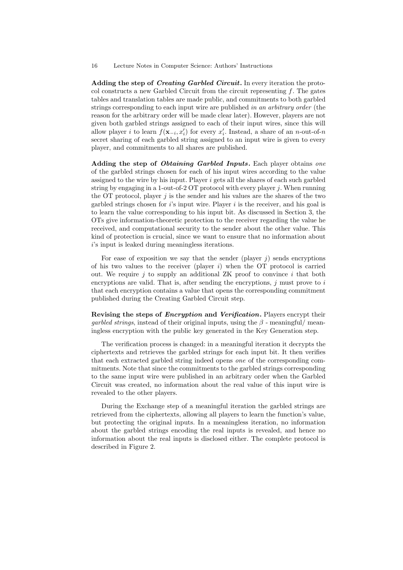Adding the step of *Creating Garbled Circuit*. In every iteration the protocol constructs a new Garbled Circuit from the circuit representing f. The gates tables and translation tables are made public, and commitments to both garbled strings corresponding to each input wire are published in an arbitrary order (the reason for the arbitrary order will be made clear later). However, players are not given both garbled strings assigned to each of their input wires, since this will allow player *i* to learn  $f(\mathbf{x}_{-i}, x'_i)$  for every  $x'_i$ . Instead, a share of an *n*-out-of-*n* secret sharing of each garbled string assigned to an input wire is given to every player, and commitments to all shares are published.

Adding the step of *Obtaining Garbled Inputs*. Each player obtains one of the garbled strings chosen for each of his input wires according to the value assigned to the wire by his input. Player i gets all the shares of each such garbled string by engaging in a 1-out-of-2  $\overline{OT}$  protocol with every player j. When running the OT protocol, player  $j$  is the sender and his values are the shares of the two garbled strings chosen for  $i$ 's input wire. Player  $i$  is the receiver, and his goal is to learn the value corresponding to his input bit. As discussed in Section 3, the OTs give information-theoretic protection to the receiver regarding the value he received, and computational security to the sender about the other value. This kind of protection is crucial, since we want to ensure that no information about i's input is leaked during meaningless iterations.

For ease of exposition we say that the sender (player  $i$ ) sends encryptions of his two values to the receiver (player  $i$ ) when the OT protocol is carried out. We require  $j$  to supply an additional ZK proof to convince  $i$  that both encryptions are valid. That is, after sending the encryptions,  $j$  must prove to  $i$ that each encryption contains a value that opens the corresponding commitment published during the Creating Garbled Circuit step.

Revising the steps of *Encryption* and *Verification*. Players encrypt their *garbled strings*, instead of their original inputs, using the  $\beta$  - meaningful/ meaningless encryption with the public key generated in the Key Generation step.

The verification process is changed: in a meaningful iteration it decrypts the ciphertexts and retrieves the garbled strings for each input bit. It then verifies that each extracted garbled string indeed opens one of the corresponding commitments. Note that since the commitments to the garbled strings corresponding to the same input wire were published in an arbitrary order when the Garbled Circuit was created, no information about the real value of this input wire is revealed to the other players.

During the Exchange step of a meaningful iteration the garbled strings are retrieved from the ciphertexts, allowing all players to learn the function's value, but protecting the original inputs. In a meaningless iteration, no information about the garbled strings encoding the real inputs is revealed, and hence no information about the real inputs is disclosed either. The complete protocol is described in Figure 2.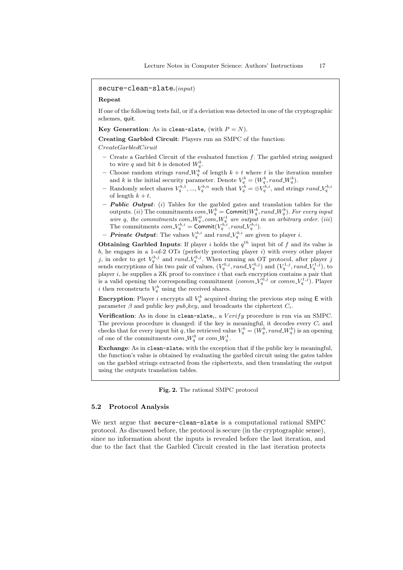# $secure$ -clean-slate $_i$ (input)

### Repeat

If one of the following tests fail, or if a deviation was detected in one of the cryptographic schemes, quit.

Key Generation: As in clean-slate<sub>i</sub> (with  $P = N$ ).

Creating Garbled Circuit: Players run an SMPC of the function:

CreateGarbledCiruit

- $-$  Create a Garbled Circuit of the evaluated function  $f$ . The garbled string assigned to wire q and bit b is denoted  $W_q^b$ .
- Choose random strings  $rand.W_q^b$  of length  $k + t$  where t is the iteration number and k is the initial security parameter. Denote  $V_q^b = (W_q^b, rand_W^b)$ .
- Randomly select shares  $V_q^{b,1},...,V_q^{b,n}$  such that  $V_q^b = \bigoplus V_q^{b,i}$ , and strings  $rand.V_q^{b,i}$ of length  $k + t$ .
- $-$  **Public Output**: (i) Tables for the garbled gates and translation tables for the outputs.  $(ii)$  The commitments  $com\_{W^b_q} = \mathsf{Commit}(W^b_q, rand\_{W^b_q}).$  For every input wire q, the commitments com  $W_q^0$ , com  $W_q^1$  are output in an arbitrary order. (iii) The commitments  $com\_{V_q}^{b,i} = \text{Commit}(V_q^{b,i}, rand\_{V_q}^{b,i}).$
- **Private Output**: The values  $V_q^{b,i}$  and rand  $V_q^{b,i}$  are given to player i.

**Obtaining Garbled Inputs:** If player i holds the  $q^{th}$  input bit of f and its value is b, he engages in a 1-of-2 OTs (perfectly protecting player  $i$ ) with every other player j, in order to get  $V_q^{b,j}$  and  $rand_{\mathcal{N}_q^{b,j}}$ . When running an OT protocol, after player j sends encryptions of his two pair of values,  $(V_q^{0,j}, rand.V_q^{0,j})$  and  $(V_q^{1,j}, rand.V_q^{1,j})$ , to player  $i$ , he supplies a ZK proof to convince  $i$  that each encryption contains a pair that is a valid opening the corresponding commitment  $(comm_{q}V_{q}^{0,j}$  or  $comm_{q}V_{q}^{1,j})$ . Player i then reconstructs  $V_q^b$  using the received shares.

**Encryption**: Player *i* encrypts all  $V_q^b$  acquired during the previous step using  $E$  with parameter  $\beta$  and public key pub key, and broadcasts the ciphertext  $C_i$ .

Verification: As in done in clean-slate<sub>i</sub>, a  $Verify$  procedure is run via an SMPC. The previous procedure is changed: if the key is meaningful, it decodes every  $C_i$  and checks that for every input bit q, the retrieved value  $V_q^b = (W_q^b, rand \cancel{W_q^b})$  is an opening of one of the commitments  $com\_{W_q^0}$  or  $com\_{W_q^1}$ .

Exchange: As in clean-slate<sub>i</sub> with the exception that if the public key is meaningful, the function's value is obtained by evaluating the garbled circuit using the gates tables on the garbled strings extracted from the ciphertexts, and then translating the output using the outputs translation tables.

Fig. 2. The rational SMPC protocol

#### 5.2 Protocol Analysis

We next argue that secure-clean-slate is a computational rational SMPC protocol. As discussed before, the protocol is secure (in the cryptographic sense), since no information about the inputs is revealed before the last iteration, and due to the fact that the Garbled Circuit created in the last iteration protects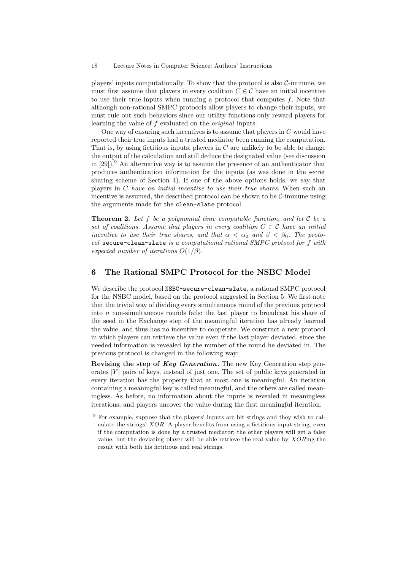players' inputs computationally. To show that the protocol is also  $C$ -immune, we must first assume that players in every coalition  $C \in \mathcal{C}$  have an initial incentive to use their true inputs when running a protocol that computes  $f$ . Note that although non-rational SMPC protocols allow players to change their inputs, we must rule out such behaviors since our utility functions only reward players for learning the value of f evaluated on the original inputs.

One way of ensuring such incentives is to assume that players in C would have reported their true inputs had a trusted mediator been running the computation. That is, by using fictitious inputs, players in  $C$  are unlikely to be able to change the output of the calculation and still deduce the designated value (see discussion in  $[29]$ .<sup>9</sup> An alternative way is to assume the presence of an authenticator that produces authentication information for the inputs (as was done in the secret sharing scheme of Section 4). If one of the above options holds, we say that players in C have an initial incentive to use their true shares. When such an incentive is assumed, the described protocol can be shown to be  $\mathcal{C}\text{-}\mathrm{immune}$  using the arguments made for the clean-slate protocol.

**Theorem 2.** Let f be a polynomial time computable function, and let  $C$  be a set of coalitions. Assume that players in every coalition  $C \in \mathcal{C}$  have an initial incentive to use their true shares, and that  $\alpha < \alpha_0$  and  $\beta < \beta_0$ . The protocol secure-clean-slate is a computational rational SMPC protocol for f with expected number of iterations  $O(1/\beta)$ .

# 6 The Rational SMPC Protocol for the NSBC Model

We describe the protocol NSBC-secure-clean-slate, a rational SMPC protocol for the NSBC model, based on the protocol suggested in Section 5. We first note that the trivial way of dividing every simultaneous round of the previous protocol into n non-simultaneous rounds fails: the last player to broadcast his share of the seed in the Exchange step of the meaningful iteration has already learned the value, and thus has no incentive to cooperate. We construct a new protocol in which players can retrieve the value even if the last player deviated, since the needed information is revealed by the number of the round he deviated in. The previous protocol is changed in the following way:

Revising the step of Key Generation. The new Key Generation step generates  $|Y|$  pairs of keys, instead of just one. The set of public keys generated in every iteration has the property that at most one is meaningful. An iteration containing a meaningful key is called meaningful, and the others are called meaningless. As before, no information about the inputs is revealed in meaningless iterations, and players uncover the value during the first meaningful iteration.

<sup>9</sup> For example, suppose that the players' inputs are bit strings and they wish to calculate the strings'  $XOR$ . A player benefits from using a fictitious input string, even if the computation is done by a trusted mediator: the other players will get a false value, but the deviating player will be able retrieve the real value by XORing the result with both his fictitious and real strings.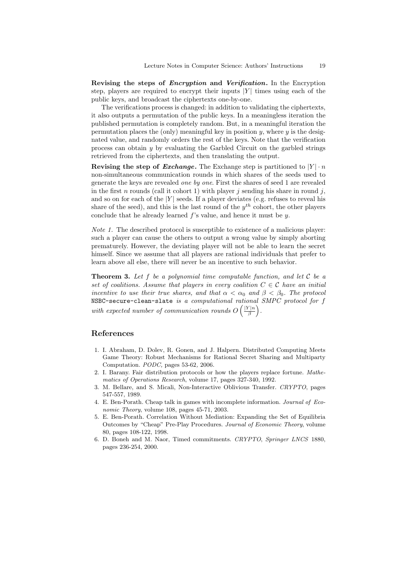Revising the steps of *Encryption* and *Verification*. In the Encryption step, players are required to encrypt their inputs  $|Y|$  times using each of the public keys, and broadcast the ciphertexts one-by-one.

The verifications process is changed: in addition to validating the ciphertexts, it also outputs a permutation of the public keys. In a meaningless iteration the published permutation is completely random. But, in a meaningful iteration the permutation places the (only) meaningful key in position  $y$ , where  $y$  is the designated value, and randomly orders the rest of the keys. Note that the verification process can obtain  $y$  by evaluating the Garbled Circuit on the garbled strings retrieved from the ciphertexts, and then translating the output.

Revising the step of *Exchange*. The Exchange step is partitioned to  $|Y| \cdot n$ non-simultaneous communication rounds in which shares of the seeds used to generate the keys are revealed one by one. First the shares of seed 1 are revealed in the first n rounds (call it cohort 1) with player j sending his share in round j, and so on for each of the  $|Y|$  seeds. If a player deviates (e.g. refuses to reveal his share of the seed), and this is the last round of the  $y^{th}$  cohort, the other players conclude that he already learned  $f$ 's value, and hence it must be  $y$ .

Note 1. The described protocol is susceptible to existence of a malicious player: such a player can cause the others to output a wrong value by simply aborting prematurely. However, the deviating player will not be able to learn the secret himself. Since we assume that all players are rational individuals that prefer to learn above all else, there will never be an incentive to such behavior.

**Theorem 3.** Let f be a polynomial time computable function, and let  $C$  be a set of coalitions. Assume that players in every coalition  $C \in \mathcal{C}$  have an initial incentive to use their true shares, and that  $\alpha < \alpha_0$  and  $\beta < \beta_0$ . The protocol  $\texttt{NSBC-secure-clean-state}$  is a computational rational  $\texttt{SMPC}$  protocol for f with expected number of communication rounds  $O\left(\frac{|Y|n}{\beta}\right)$  $\frac{\lceil n \rceil}{\beta}$ .

# References

- 1. I. Abraham, D. Dolev, R. Gonen, and J. Halpern. Distributed Computing Meets Game Theory: Robust Mechanisms for Rational Secret Sharing and Multiparty Computation. PODC, pages 53-62, 2006.
- 2. I. Barany. Fair distribution protocols or how the players replace fortune. Mathematics of Operations Research, volume 17, pages 327-340, 1992.
- 3. M. Bellare, and S. Micali, Non-Interactive Oblivious Transfer. CRYPTO, pages 547-557, 1989.
- 4. E. Ben-Porath. Cheap talk in games with incomplete information. Journal of Economic Theory, volume 108, pages 45-71, 2003.
- 5. E. Ben-Porath. Correlation Without Mediation: Expanding the Set of Equilibria Outcomes by "Cheap" Pre-Play Procedures. Journal of Economic Theory, volume 80, pages 108-122, 1998.
- 6. D. Boneh and M. Naor, Timed commitments. CRYPTO, Springer LNCS 1880, pages 236-254, 2000.